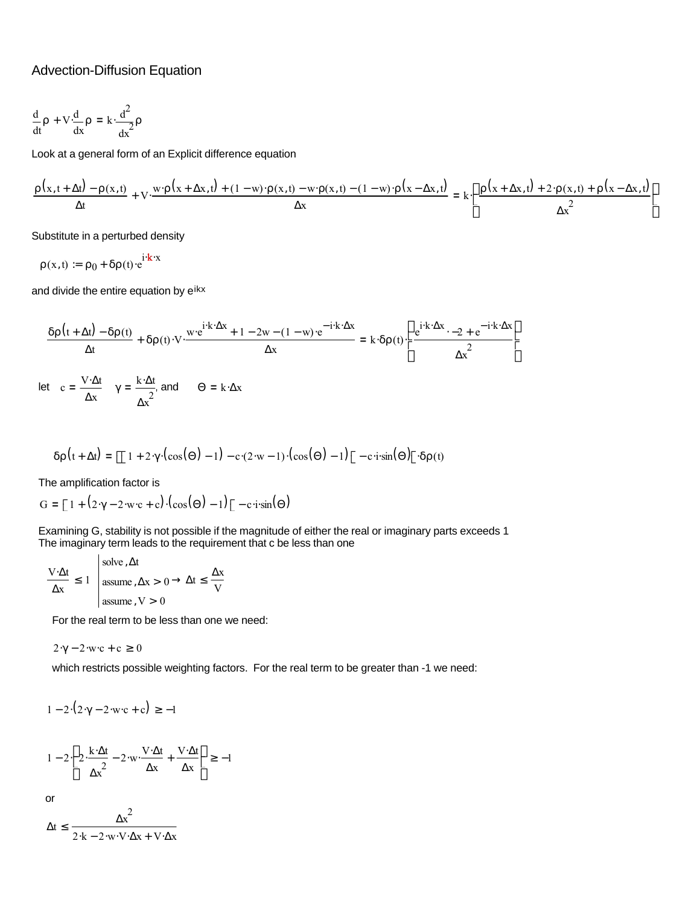## Advection-Diffusion Equation

$$
\frac{d}{dt}\rho + V \frac{d}{dx}\rho = k \cdot \frac{d^2}{dx^2}\rho
$$

Look at a general form of an Explicit difference equation

$$
\frac{\rho(x,t+\Delta t)-\rho(x,t)}{\Delta t}+V\cdot\frac{w\cdot\rho(x+\Delta x,t)+(1-w)\cdot\rho(x,t)-w\cdot\rho(x,t)-(1-w)\cdot\rho(x-\Delta x,t)}{\Delta x}=k\cdot\left(\frac{\rho(x+\Delta x,t)+2\cdot\rho(x,t)+\rho(x-\Delta x,t)}{\Delta x}\right)
$$

Substitute in a perturbed density

 $\rho(x,t) \coloneqq \rho_0 + \delta \rho(t) \cdot e^{i \cdot \mathbf{k} \cdot x}$ 

and divide the entire equation by eikx

$$
\frac{\delta \rho(t+\Delta t)-\delta \rho(t)}{\Delta t}+\delta \rho(t)\cdot V\cdot \frac{w\cdot e^{i\cdot k\cdot \Delta x}+1-2w-(1-w)\cdot e^{-i\cdot k\cdot \Delta x}}{\Delta x}=k\cdot \delta \rho(t)\cdot \left(\frac{e^{i\cdot k\cdot \Delta x}\cdot -2+e^{-i\cdot k\cdot \Delta x}}{\Delta x}\right)
$$

 $\gamma = \frac{k \cdot \Delta t}{2}$  and  $\Theta = k \cdot \Delta x$ c =  $\frac{V \cdot \Delta t}{\Delta x}$   $\gamma = \frac{k \cdot \Delta t}{\Delta x^2}$ Δx let **=**

$$
\delta \rho(t + \Delta t) = \left[ \left[ 1 + 2 \cdot \gamma \cdot (\cos(\Theta) - 1) - c \cdot (2 \cdot w - 1) \cdot (\cos(\Theta) - 1) \right] - c \cdot i \cdot \sin(\Theta) \right] \cdot \delta \rho(t)
$$

The amplification factor is

$$
G = \left[1 + (2\cdot\gamma - 2\cdot w \cdot c + c) \cdot (\cos(\Theta) - 1)\right] - c \cdot i \cdot \sin(\Theta)
$$

Examining G, stability is not possible if the magnitude of either the real or imaginary parts exceeds 1 The imaginary term leads to the requirement that c be less than one

$$
\frac{V \cdot \Delta t}{\Delta x} \le 1 \quad \text{assume, } \Delta x > 0 \to \Delta t \le \frac{\Delta x}{V}
$$
\n
$$
\text{assume, } V > 0
$$

For the real term to be less than one we need:

$$
2\cdot\gamma - 2\cdot w\cdot c + c \ge 0
$$

which restricts possible weighting factors. For the real term to be greater than -1 we need:

$$
1 - 2 \cdot (2 \cdot \gamma - 2 \cdot w \cdot c + c) \ge -1
$$

$$
1 - 2 \left( 2 \cdot \frac{k \cdot \Delta t}{\Delta x^2} - 2 \cdot w \cdot \frac{V \cdot \Delta t}{\Delta x} + \frac{V \cdot \Delta t}{\Delta x} \right) \ge -1
$$

or

$$
\Delta t \leq \frac{\Delta x^2}{2 \cdot k - 2 \cdot w \cdot V \cdot \Delta x + V \cdot \Delta x}
$$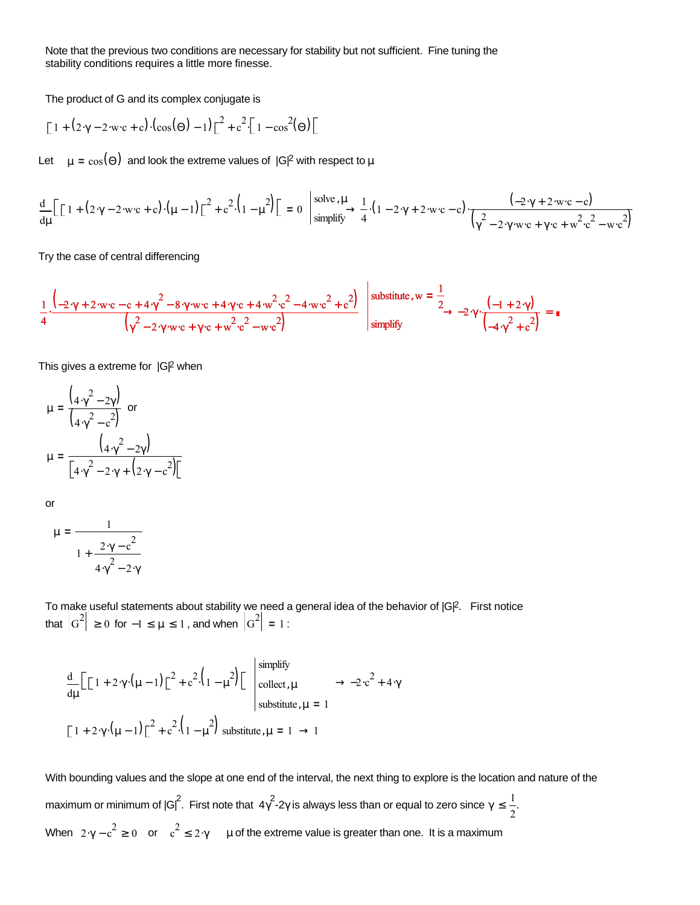Note that the previous two conditions are necessary for stability but not sufficient. Fine tuning the stability conditions requires a little more finesse.

The product of G and its complex conjugate is

$$
\left[1+\left(2\cdot\gamma-2\cdot\operatorname{w\cdot c}+\operatorname{c}\right)\cdot\left(\cos(\Theta)-1\right)\right]^{2}+\operatorname{c}^{2}\left[1-\cos^{2}(\Theta)\right]
$$

Let  $\mu = \cos(\Theta)$  and look the extreme values of  $|G|^2$  with respect to  $\mu$ 

$$
\frac{d}{d\mu} \Big[ \Big[ 1 + (2\cdot\gamma - 2\cdot w \cdot c + c) \cdot (\mu - 1) \Big]^2 + c^2 \cdot \Big( 1 - \mu^2 \Big) \Big] = 0 \quad \left| \frac{\text{solve } , \mu}{\text{simply}} \to \frac{1}{4} \cdot (1 - 2\cdot\gamma + 2\cdot w \cdot c - c) \cdot \frac{(-2\cdot\gamma + 2\cdot w \cdot c - c)}{\Big(\gamma^2 - 2\cdot\gamma \cdot w \cdot c + \gamma \cdot c + w^2 \cdot c^2 - w \cdot c^2\Big)} \right|
$$

Try the case of central differencing

$$
\frac{1}{4} \cdot \frac{\left(-2 \cdot \gamma + 2 \cdot w \cdot c - c + 4 \cdot \gamma^2 - 8 \cdot \gamma \cdot w \cdot c + 4 \cdot \gamma \cdot c + 4 \cdot w^2 \cdot c^2 - 4 \cdot w \cdot c^2 + c^2\right)}{\left(\gamma^2 - 2 \cdot \gamma \cdot w \cdot c + \gamma \cdot c + w^2 \cdot c^2 - w \cdot c^2\right)} \quad \text{substitute, } w = \frac{1}{2} \rightarrow -2 \cdot \gamma \cdot \frac{\left(-1 + 2 \cdot \gamma\right)}{\left(-4 \cdot \gamma^2 + c^2\right)} = 0
$$

This gives a extreme for  $|G|^2$  when

$$
\mu = \frac{\left(4 \cdot \gamma^2 - 2\gamma\right)}{\left(4 \cdot \gamma^2 - c^2\right)} \text{ or}
$$
\n
$$
\mu = \frac{\left(4 \cdot \gamma^2 - 2\gamma\right)}{\left[4 \cdot \gamma^2 - 2 \cdot \gamma + \left(2 \cdot \gamma - c^2\right)\right]}
$$

or

$$
\mu = \frac{1}{1 + \frac{2 \cdot \gamma - c^2}{4 \cdot \gamma^2 - 2 \cdot \gamma}}
$$

To make useful statements about stability we need a general idea of the behavior of  $|GP$ . First notice that  $|G^2| \ge 0$  for  $-1 \le \mu \le 1$  , and when  $|G^2| = 1$  :

$$
\frac{d}{d\mu} \Big[ \Big[ 1 + 2 \cdot \gamma \cdot (\mu - 1) \Big]^2 + c^2 \cdot \Big( 1 - \mu^2 \Big) \Big] \begin{array}{l} \text{simplify} \\ \text{collect, } \mu \\ \text{collect, } \mu \end{array} \rightarrow -2 \cdot c^2 + 4 \cdot \gamma
$$
  
\n
$$
\Big[ 1 + 2 \cdot \gamma \cdot (\mu - 1) \Big]^2 + c^2 \cdot \Big( 1 - \mu^2 \Big) \text{ substitute, } \mu = 1 \rightarrow 1
$$

When  $2 \cdot \gamma - c^2 \ge 0$  or  $c^2 \le 2 \cdot \gamma$  µ of the extreme value is greater than one. It is a maximum With bounding values and the slope at one end of the interval, the next thing to explore is the location and nature of the maximum or minimum of  $|G|^2$ . First note that  $4\gamma^2$ -2 $\gamma$  is always less than or equal to zero since  $\gamma \leq \frac{1}{\gamma}$  $\leq \frac{1}{2}$ .